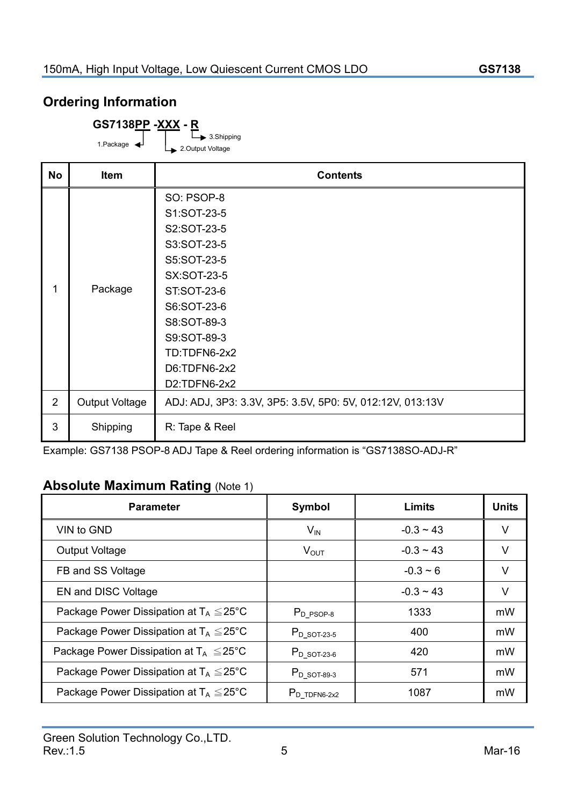## **Ordering Information**

**GS7138PP -XXX - R**

3.Shipping 1.Package  $\leftarrow$  1.Package  $\leftarrow$  2.Output Voltage

| <b>No</b>      | Item                  | <b>Contents</b>                                           |  |  |
|----------------|-----------------------|-----------------------------------------------------------|--|--|
|                |                       | SO: PSOP-8                                                |  |  |
|                |                       | S1:SOT-23-5                                               |  |  |
|                |                       | S2:SOT-23-5                                               |  |  |
|                |                       | S3:SOT-23-5                                               |  |  |
|                |                       | S5:SOT-23-5                                               |  |  |
|                |                       | <b>SX:SOT-23-5</b>                                        |  |  |
| 1              | Package               | <b>ST:SOT-23-6</b>                                        |  |  |
|                |                       | S6:SOT-23-6                                               |  |  |
|                |                       | S8:SOT-89-3                                               |  |  |
|                |                       | S9:SOT-89-3                                               |  |  |
|                |                       | TD:TDFN6-2x2                                              |  |  |
|                |                       | D6:TDFN6-2x2                                              |  |  |
|                |                       | D2:TDFN6-2x2                                              |  |  |
| $\overline{2}$ | <b>Output Voltage</b> | ADJ: ADJ, 3P3: 3.3V, 3P5: 3.5V, 5P0: 5V, 012:12V, 013:13V |  |  |
| 3              | Shipping              | R: Tape & Reel                                            |  |  |

Example: GS7138 PSOP-8 ADJ Tape & Reel ordering information is "GS7138SO-ADJ-R"

## **Absolute Maximum Rating** (Note 1)

| <b>Parameter</b>                                    | Symbol                       | <b>Limits</b>  | <b>Units</b> |
|-----------------------------------------------------|------------------------------|----------------|--------------|
| VIN to GND                                          | $V_{\mathsf{IN}}$            | $-0.3 \sim 43$ | V            |
| <b>Output Voltage</b>                               | $V_{\text{OUT}}$             | $-0.3 \sim 43$ | V            |
| FB and SS Voltage                                   |                              | $-0.3 \sim 6$  | V            |
| EN and DISC Voltage                                 |                              | $-0.3 \sim 43$ | V            |
| Package Power Dissipation at $T_A \leq 25^{\circ}C$ | $P_{D_PSOP-8}$               | 1333           | mW           |
| Package Power Dissipation at $T_A \leq 25^{\circ}C$ | $P_{D}$ sot-23-5             | 400            | mW           |
| Package Power Dissipation at $T_A \leq 25^{\circ}C$ | $P_{D}$ sot-23-6             | 420            | mW           |
| Package Power Dissipation at $T_A \leq 25^{\circ}C$ | $P_{D}$ sot-89-3             | 571            | mW           |
| Package Power Dissipation at $T_A \leq 25^{\circ}C$ | $P_{D}$ <sub>TDFN6-2x2</sub> | 1087           | mW           |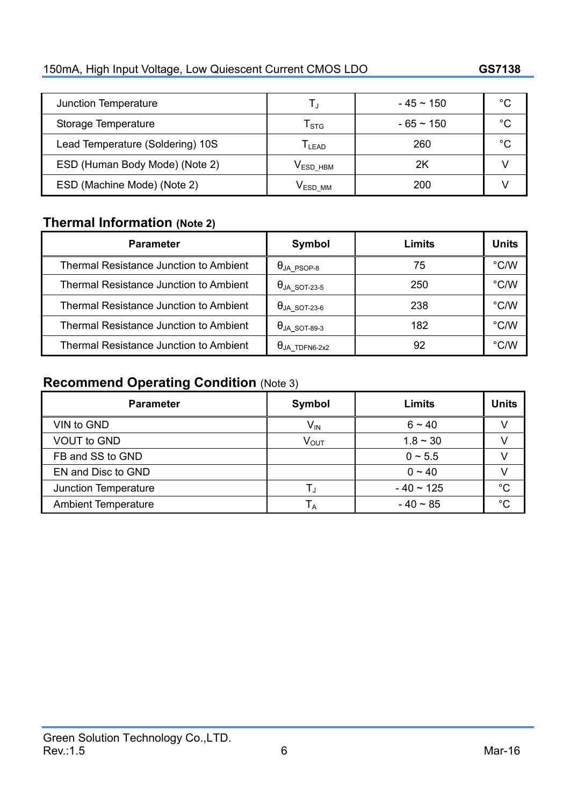# **GStek**

150mA, High Input Voltage, Low Quiescent Current CMOS LDO **GS7138**

| Junction Temperature             |                      | $-45 \sim 150$ | °C |
|----------------------------------|----------------------|----------------|----|
| Storage Temperature              | l stg                | $-65 \sim 150$ | °C |
| Lead Temperature (Soldering) 10S | $L_{EAD}$            | 260            | °C |
| ESD (Human Body Mode) (Note 2)   | V <sub>ESD</sub> HBM | 2Κ             |    |
| ESD (Machine Mode) (Note 2)      | $\rm V_{ESD~MM}$     | 200            |    |

## **Thermal Information (Note 2)**

| <b>Parameter</b>                              | Symbol                              | Limits | <b>Units</b>  |
|-----------------------------------------------|-------------------------------------|--------|---------------|
| <b>Thermal Resistance Junction to Ambient</b> | $\Theta$ ja_psop-8                  | 75     | °C/W          |
| <b>Thermal Resistance Junction to Ambient</b> | $\theta$ ja_sot-23-5                | 250    | $\degree$ C/W |
| <b>Thermal Resistance Junction to Ambient</b> | $\Theta$ ja_sot-23-6                | 238    | $\degree$ C/W |
| <b>Thermal Resistance Junction to Ambient</b> | $\theta$ ja_sot-89-3                | 182    | $\degree$ C/W |
| Thermal Resistance Junction to Ambient        | $\theta_{\sf JA\_TDFNG\text{-}2x2}$ | 92     | $\degree$ C/W |

## **Recommend Operating Condition** (Note 3)

| <b>Parameter</b>           | Symbol           | <b>Limits</b>  | <b>Units</b> |
|----------------------------|------------------|----------------|--------------|
| VIN to GND                 | V <sub>IN</sub>  | $6 - 40$       |              |
| <b>VOUT to GND</b>         | $V_{\text{OUT}}$ | $1.8 - 30$     |              |
| FB and SS to GND           |                  | $0 \sim 5.5$   |              |
| EN and Disc to GND         |                  | $0 \sim 40$    |              |
| Junction Temperature       |                  | $-40 \sim 125$ | $^{\circ}C$  |
| <b>Ambient Temperature</b> |                  | $-40 \sim 85$  | $\sim$       |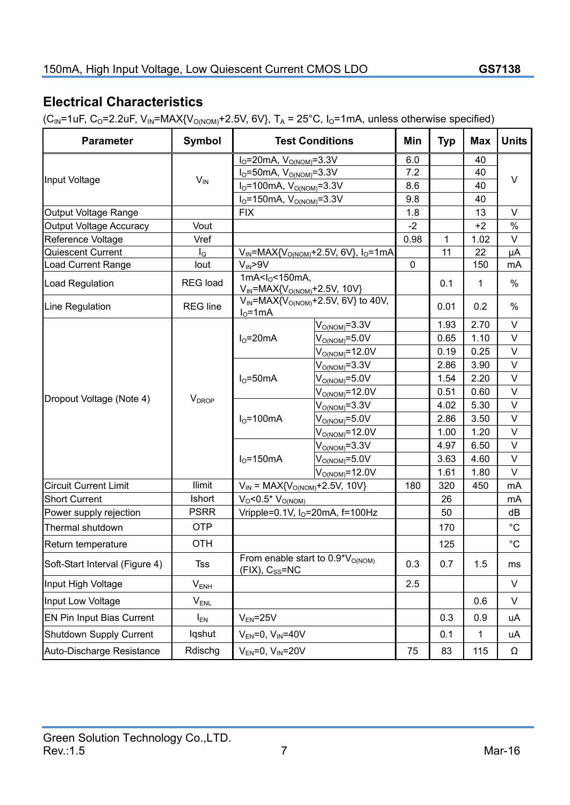## **Electrical Characteristics**

 $(C_{IN}$ =1uF, C<sub>O</sub>=2.2uF, V<sub>IN</sub>=MAX{V<sub>O(NOM)</sub>+2.5V, 6V}, T<sub>A</sub> = 25°C, I<sub>O</sub>=1mA, unless otherwise specified)

| <b>Parameter</b>               | Symbol                   | <b>Test Conditions</b>                                          |                                                      | Min  | <b>Typ</b> | <b>Max</b>   | <b>Units</b> |
|--------------------------------|--------------------------|-----------------------------------------------------------------|------------------------------------------------------|------|------------|--------------|--------------|
|                                |                          | $IO=20mA, VO(NOM=3.3V$                                          |                                                      | 6.0  |            | 40           |              |
|                                | $V_{IN}$                 | $I_0 = 50$ mA, $V_{O(NOM)} = 3.3V$                              |                                                      | 7.2  |            | 40           |              |
| Input Voltage                  |                          | $I_{O} = 100$ mA, $V_{O(NOM)} = 3.3V$                           |                                                      | 8.6  |            | 40           | $\vee$       |
|                                |                          | $IO=150mA, VO(NOM)=3.3V$                                        |                                                      | 9.8  |            | 40           |              |
| Output Voltage Range           |                          | <b>FIX</b>                                                      |                                                      | 1.8  |            | 13           | $\vee$       |
| <b>Output Voltage Accuracy</b> | Vout                     |                                                                 |                                                      | $-2$ |            | $+2$         | $\%$         |
| Reference Voltage              | Vref                     |                                                                 |                                                      | 0.98 | 1          | 1.02         | $\vee$       |
| Quiescent Current              | $I_{\Omega}$             |                                                                 | $V_{IN}$ =MAX{ $V_{O(NOM)}$ +2.5V, 6V}, $I_0$ =1mA   |      | 11         | 22           | μA           |
| <b>Load Current Range</b>      | lout                     | $V_{IN}$ >9V                                                    |                                                      | 0    |            | 150          | mA           |
| <b>Load Regulation</b>         | <b>REG</b> load          | 1mA< $I_0$ <150mA,<br>$V_{IN}$ =MAX{ $V_{O(NOM)}$ +2.5V, 10V}   |                                                      |      | 0.1        | 1            | $\%$         |
| Line Regulation                | <b>REG</b> line          | $IO=1mA$                                                        | $V_{IN}$ =MAX{V <sub>O(NOM)</sub> +2.5V, 6V} to 40V, |      | 0.01       | 0.2          | %            |
|                                |                          |                                                                 | $V_{\text{O(NOM)}} = 3.3V$                           |      | 1.93       | 2.70         | $\vee$       |
|                                |                          | $IO=20mA$                                                       | $VO(NOM) = 5.0V$                                     |      | 0.65       | 1.10         | $\vee$       |
|                                |                          |                                                                 | $V_{O(NOM)} = 12.0V$                                 |      | 0.19       | 0.25         | $\vee$       |
|                                |                          |                                                                 | $V_{\text{O(NOM)}} = 3.3V$                           |      | 2.86       | 3.90         | $\vee$       |
|                                |                          | $IO=50mA$                                                       | $V_{\text{O(NOM)}}$ =5.0V                            |      | 1.54       | 2.20         | $\vee$       |
|                                | <b>V</b> <sub>DROP</sub> |                                                                 | $\rm V_{O(NOM)}$ =12.0V                              |      | 0.51       | 0.60         | $\vee$       |
| Dropout Voltage (Note 4)       |                          |                                                                 | $V_{\text{O(NOM)}}$ =3.3V                            |      | 4.02       | 5.30         | $\mathsf{V}$ |
|                                |                          | $IO=100mA$                                                      | $V_{\text{O(NOM)}} = 5.0V$                           |      | 2.86       | 3.50         | $\vee$       |
|                                |                          |                                                                 | $V_{\text{O(NOM)}}$ =12.0V                           |      | 1.00       | 1.20         | $\vee$       |
|                                |                          | $I0=150mA$                                                      | $V_{\text{O(NOM)}}$ =3.3V                            |      | 4.97       | 6.50         | $\vee$       |
|                                |                          |                                                                 | $V_{\rm O(NOM)}$ =5.0V                               |      | 3.63       | 4.60         | $\vee$       |
|                                |                          |                                                                 | $VO(NOM) = 12.0V$                                    |      | 1.61       | 1.80         | $\vee$       |
| <b>Circuit Current Limit</b>   | <b>Ilimit</b>            | $V_{IN}$ = MAX{V <sub>O(NOM)</sub> +2.5V, 10V}                  |                                                      | 180  | 320        | 450          | mA           |
| <b>Short Current</b>           | Ishort                   | $V_0$ <0.5* $V_{O(NOM)}$                                        |                                                      |      | 26         |              | mA           |
| Power supply rejection         | <b>PSRR</b>              |                                                                 | Vripple=0.1V, $IO=20mA$ , f=100Hz                    |      | 50         |              | dB           |
| Thermal shutdown               | OTP                      |                                                                 |                                                      |      | 170        |              | $^{\circ}C$  |
| Return temperature             | <b>OTH</b>               |                                                                 |                                                      |      | 125        |              | $^{\circ}C$  |
| Soft-Start Interval (Figure 4) | <b>Tss</b>               | From enable start to $0.9*V_{O(NOM)}$<br>$(FIX)$ , $C_{SS}$ =NC |                                                      | 0.3  | 0.7        | 1.5          | ms           |
| Input High Voltage             | $V_{ENH}$                |                                                                 |                                                      | 2.5  |            |              | V            |
| Input Low Voltage              | $V_{ENL}$                |                                                                 |                                                      |      |            | 0.6          | V            |
| EN Pin Input Bias Current      | $I_{EN}$                 | $V_{EN}$ =25V                                                   |                                                      |      | 0.3        | 0.9          | uA           |
| Shutdown Supply Current        | lqshut                   | $V_{EN} = 0$ , $V_{IN} = 40V$                                   |                                                      |      | 0.1        | $\mathbf{1}$ | uA           |
| Auto-Discharge Resistance      | Rdischg                  | $V_{EN} = 0, V_{IN} = 20V$                                      |                                                      | 75   | 83         | 115          | Ω            |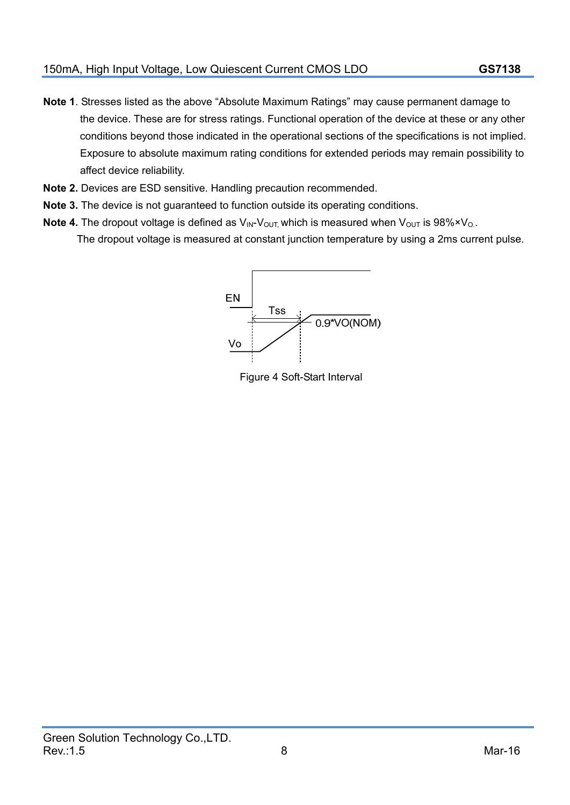- **Note 1**. Stresses listed as the above "Absolute Maximum Ratings" may cause permanent damage to the device. These are for stress ratings. Functional operation of the device at these or any other conditions beyond those indicated in the operational sections of the specifications is not implied. Exposure to absolute maximum rating conditions for extended periods may remain possibility to affect device reliability.
- **Note 2.** Devices are ESD sensitive. Handling precaution recommended.
- **Note 3.** The device is not guaranteed to function outside its operating conditions.
- **Note 4.** The dropout voltage is defined as  $V_{\text{IN}}V_{\text{OUT}}$  which is measured when  $V_{\text{OUT}}$  is 98% $\times V_{\text{O}}$ . The dropout voltage is measured at constant junction temperature by using a 2ms current pulse.

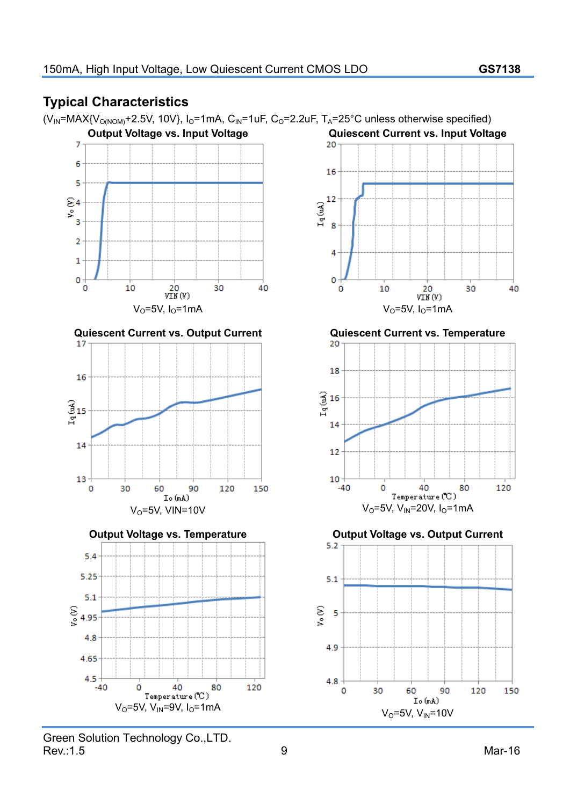## **GStek** 150mA, High Input Voltage, Low Quiescent Current CMOS LDO **GS7138**

## **Typical Characteristics**

 $(V_{IN} = MAX{V_{O(NOM)} + 2.5V, 10V}$ , I<sub>O</sub>=1mA, C<sub>IN</sub>=1uF, C<sub>O</sub>=2.2uF, T<sub>A</sub>=25°C unless otherwise specified)

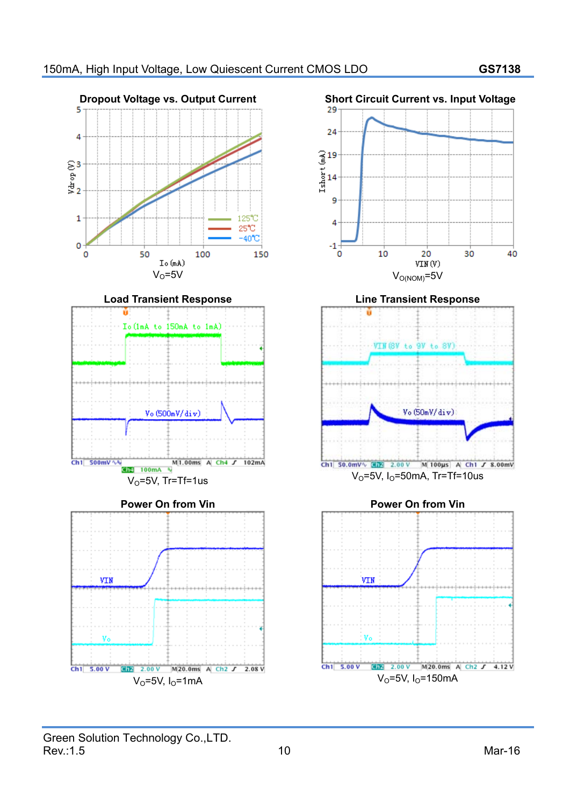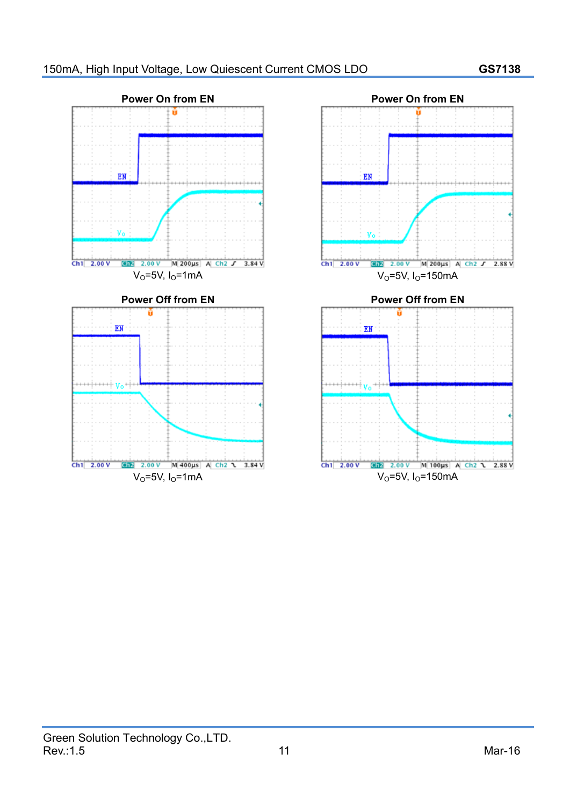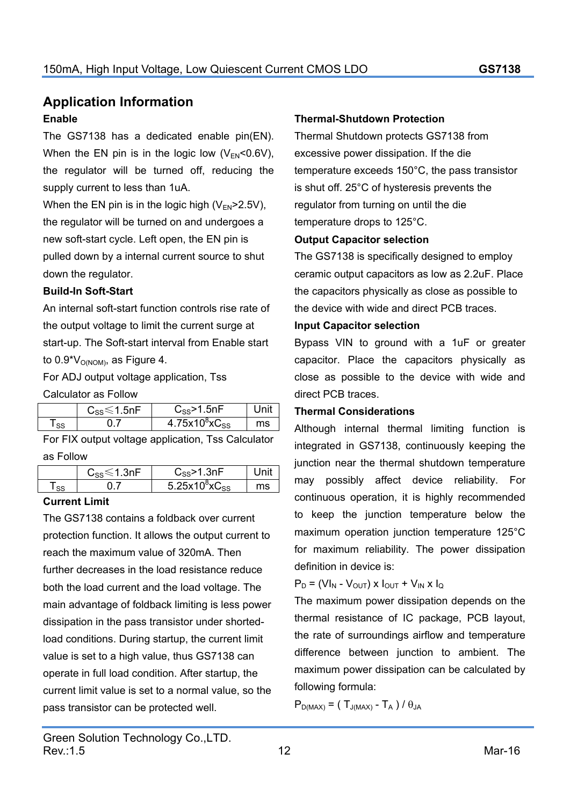### **Application Information Enable**

The GS7138 has a dedicated enable pin(EN). When the EN pin is in the logic low  $(V_{FN} < 0.6V)$ , the regulator will be turned off, reducing the supply current to less than 1uA.

When the EN pin is in the logic high  $(V_{FN} > 2.5V)$ , the regulator will be turned on and undergoes a new soft-start cycle. Left open, the EN pin is pulled down by a internal current source to shut down the regulator.

#### **Build-In Soft-Start**

An internal soft-start function controls rise rate of the output voltage to limit the current surge at start-up. The Soft-start interval from Enable start to  $0.9*V<sub>O(NOM)</sub>$ , as Figure 4.

For ADJ output voltage application, Tss

Calculator as Follow

|           | $C_{SS}$ $\leq$ 1.5nF | $\mathrm{C_{SS}}$ >1.5nF              |    |
|-----------|-----------------------|---------------------------------------|----|
| <b>SS</b> |                       | 4.75x10 <sup>8</sup> xC <sub>ss</sub> | ms |
|           |                       |                                       |    |

For FIX output voltage application, Tss Calculator as Follow

|           | $C_{SS}$ $\leq$ 1.3nF | $\mathrm{C_{SS}}$ >1.3n $\mathrm{F_{0}}$ |
|-----------|-----------------------|------------------------------------------|
| <b>SS</b> |                       | 5.25 $x10^8$ $xC_{SS}$<br>ms             |
|           |                       |                                          |

#### **Current Limit**

The GS7138 contains a foldback over current protection function. It allows the output current to reach the maximum value of 320mA. Then further decreases in the load resistance reduce both the load current and the load voltage. The main advantage of foldback limiting is less power dissipation in the pass transistor under shortedload conditions. During startup, the current limit value is set to a high value, thus GS7138 can operate in full load condition. After startup, the current limit value is set to a normal value, so the pass transistor can be protected well.

Thermal Shutdown protects GS7138 from excessive power dissipation. If the die temperature exceeds 150°C, the pass transistor is shut off. 25°C of hysteresis prevents the regulator from turning on until the die temperature drops to 125°C.

#### **Output Capacitor selection**

The GS7138 is specifically designed to employ ceramic output capacitors as low as 2.2uF. Place the capacitors physically as close as possible to the device with wide and direct PCB traces.

#### **Input Capacitor selection**

Bypass  $\sqrt{\frac{W}{N}}$  to ground with a 1uF or greater capacitor. Place the capacitors physically as close as possible to the device with wide and direct PCB traces.

#### **Thermal Considerations**

Although internal thermal limiting function is integrated in GS7138, continuously keeping the junction near the thermal shutdown temperature may possibly affect device reliability. For continuous operation, it is highly recommended to keep the junction temperature below the maximum operation junction temperature 125°C for maximum reliability. The power dissipation definition in device is:

 $P_D = (VI_N - V_{OUT}) \times I_{OUT} + V_{IN} \times I_{Q}$ 

The maximum power dissipation depends on the thermal resistance of IC package, PCB layout, the rate of surroundings airflow and temperature difference between junction to ambient. The maximum power dissipation can be calculated by following formula:

 $P_{D(MAX)} = (T_{J(MAX)} - T_A) / \theta_{JA}$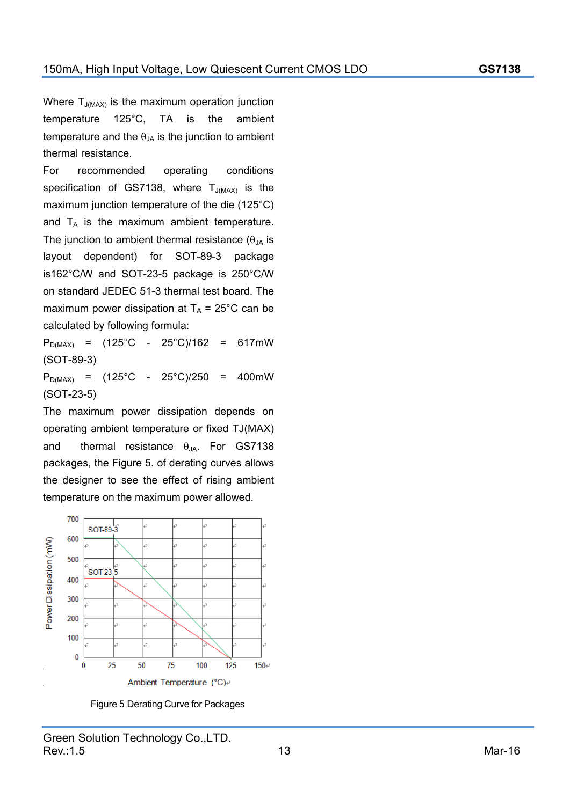Where  $T_{J(MAX)}$  is the maximum operation junction temperature 125°C, TA is the ambient temperature and the  $\theta_{JA}$  is the junction to ambient thermal resistance.

For recommended operating conditions specification of GS7138, where  $T_{J(MAX)}$  is the maximum junction temperature of the die (125°C) and  $T_A$  is the maximum ambient temperature. The junction to ambient thermal resistance  $(\theta)$ <sub>IA</sub> is layout dependent) for SOT-89-3 package is162°C/W and SOT-23-5 package is 250°C/W on standard JEDEC 51-3 thermal test board. The maximum power dissipation at  $T_A$  = 25°C can be calculated by following formula:

 $P_{D(MAX)} = (125^{\circ}C - 25^{\circ}C)/162 = 617mW$ (SOT-89-3)

 $P_{D(MAX)} = (125^{\circ}C - 25^{\circ}C)/250 = 400mW$ (SOT-23-5)

The maximum power dissipation depends on operating ambient temperature or fixed TJ(MAX) and thermal resistance  $\theta_{JA}$ . For GS7138 packages, the Figure 5. of derating curves allows the designer to see the effect of rising ambient temperature on the maximum power allowed.



Figure 5 Derating Curve for Packages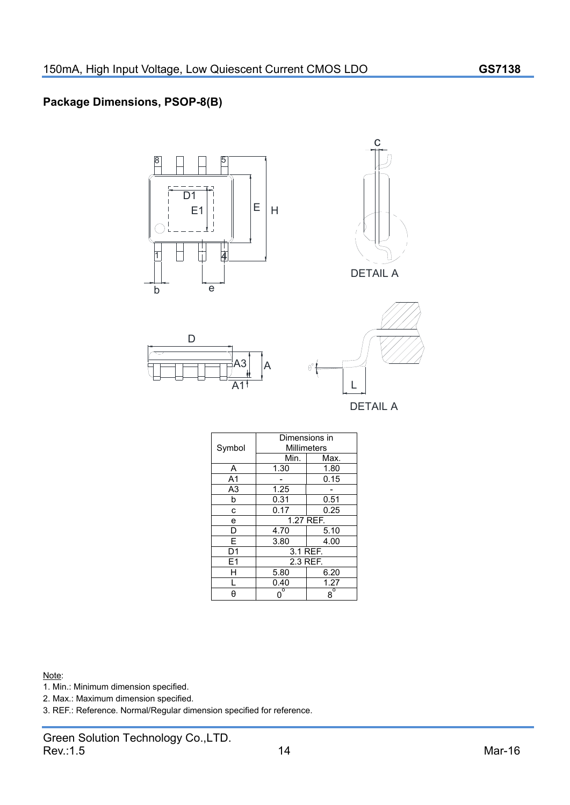#### **Package Dimensions, PSOP-8(B)**



Note:

1. Min.: Minimum dimension specified.

2. Max.: Maximum dimension specified.

3. REF.: Reference. Normal/Regular dimension specified for reference.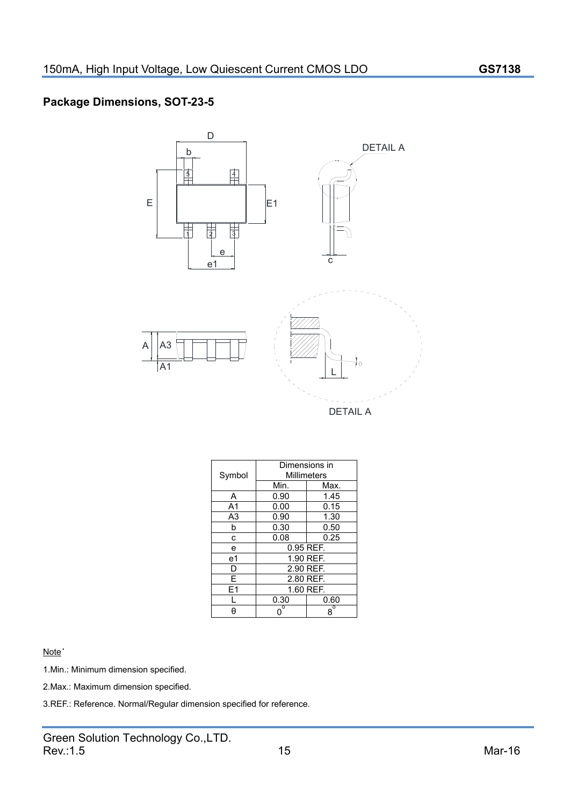#### **Package Dimensions, SOT-23-5**



1.Min.: Minimum dimension specified.

2.Max.: Maximum dimension specified.

3.REF.: Reference. Normal/Regular dimension specified for reference.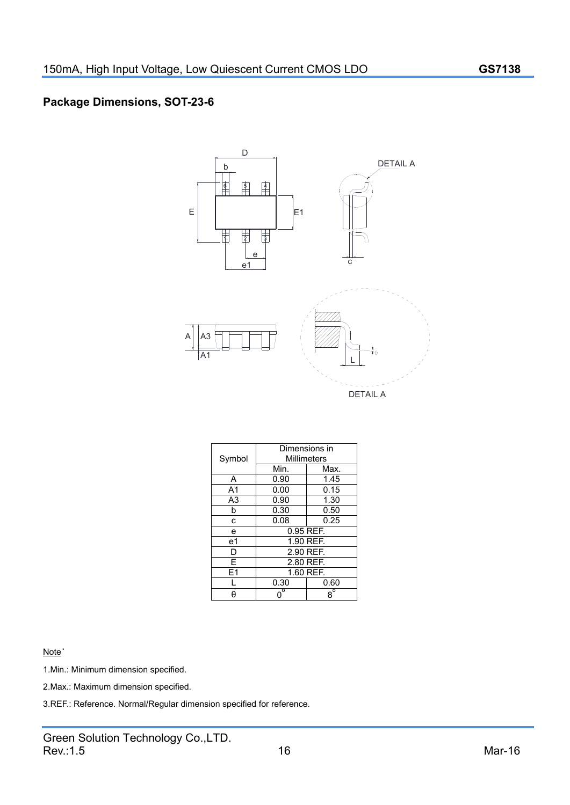#### **Package Dimensions, SOT-23-6**



Note˙

1.Min.: Minimum dimension specified.

2.Max.: Maximum dimension specified.

3.REF.: Reference. Normal/Regular dimension specified for reference.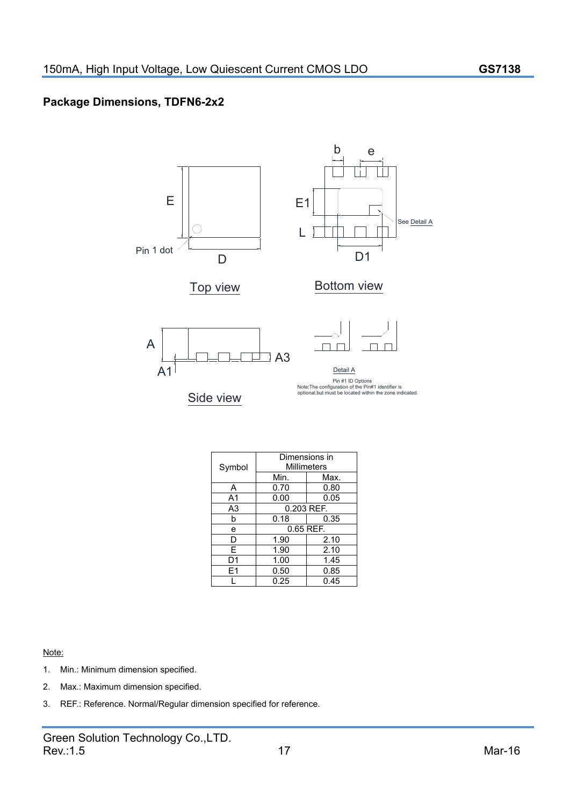#### **Package Dimensions, TDFN6-2x2**



#### Note:

- 1. Min.: Minimum dimension specified.
- 2. Max.: Maximum dimension specified.
- 3. REF.: Reference. Normal/Regular dimension specified for reference.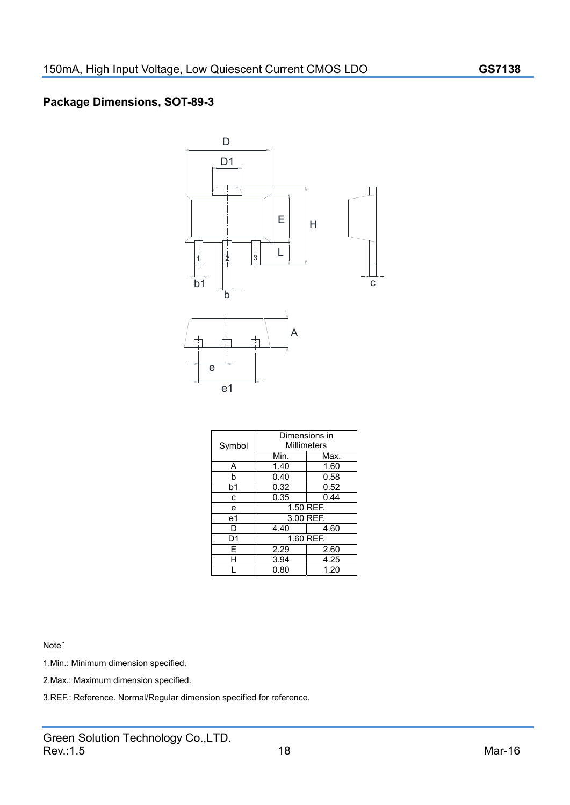#### **Package Dimensions, SOT-89-3**



Note<sup>•</sup>

1.Min.: Minimum dimension specified.

2.Max.: Maximum dimension specified.

3.REF.: Reference. Normal/Regular dimension specified for reference.